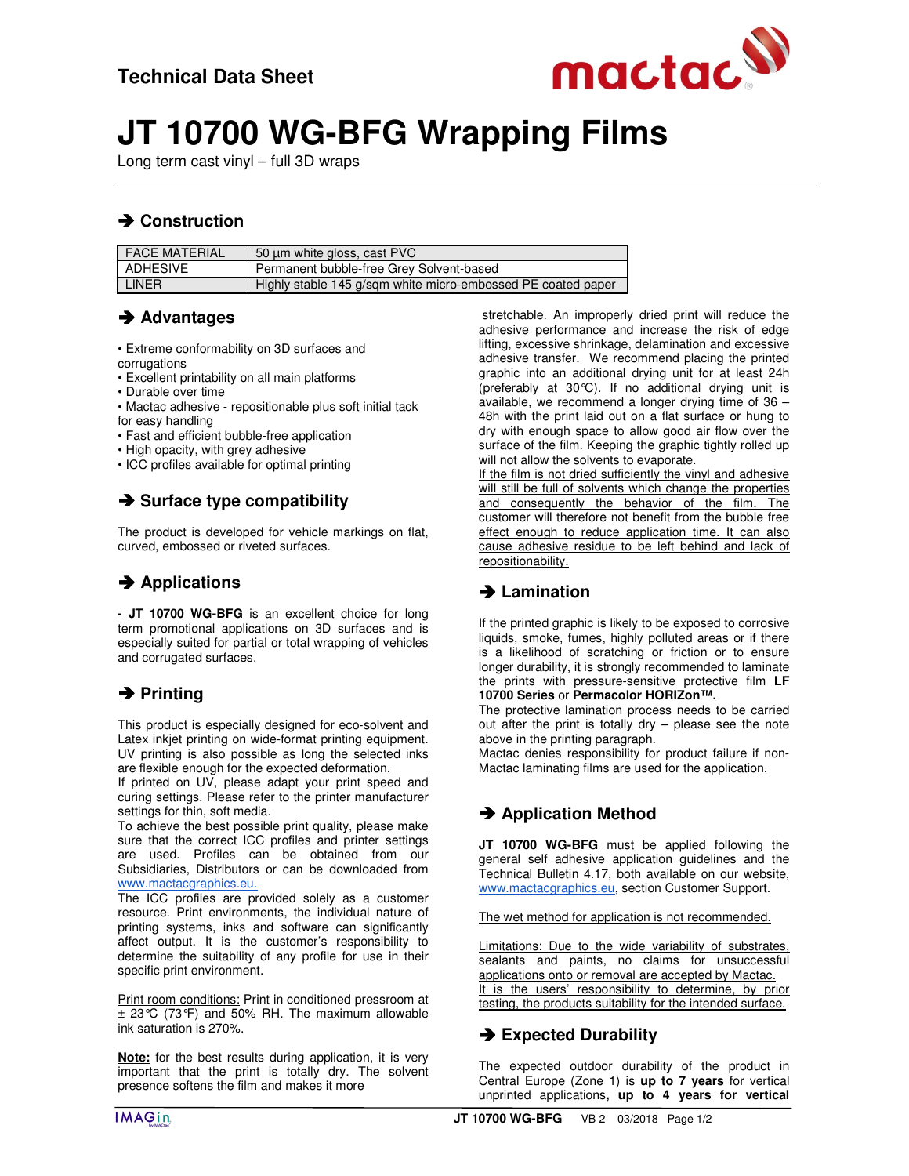

# **JT 10700 WG-BFG Wrapping Films**

Long term cast vinyl – full 3D wraps

# **→ Construction**

| <b>FACE MATERIAL</b> | 50 µm white gloss, cast PVC                                  |
|----------------------|--------------------------------------------------------------|
| ADHESIVE             | Permanent bubble-free Grey Solvent-based                     |
| LINER                | Highly stable 145 g/sgm white micro-embossed PE coated paper |

## **Advantages**

• Extreme conformability on 3D surfaces and

- corrugations
- Excellent printability on all main platforms
- Durable over time
- Mactac adhesive repositionable plus soft initial tack for easy handling
- Fast and efficient bubble-free application
- High opacity, with grey adhesive
- ICC profiles available for optimal printing

## **→ Surface type compatibility**

The product is developed for vehicle markings on flat, curved, embossed or riveted surfaces.

## **→ Applications**

**- JT 10700 WG-BFG** is an excellent choice for long term promotional applications on 3D surfaces and is especially suited for partial or total wrapping of vehicles and corrugated surfaces.

## **→ Printing**

This product is especially designed for eco-solvent and Latex inkjet printing on wide-format printing equipment. UV printing is also possible as long the selected inks are flexible enough for the expected deformation.

If printed on UV, please adapt your print speed and curing settings. Please refer to the printer manufacturer settings for thin, soft media.

To achieve the best possible print quality, please make sure that the correct ICC profiles and printer settings are used. Profiles can be obtained from our Subsidiaries, Distributors or can be downloaded from www.mactacgraphics.eu.

The ICC profiles are provided solely as a customer resource. Print environments, the individual nature of printing systems, inks and software can significantly affect output. It is the customer's responsibility to determine the suitability of any profile for use in their specific print environment.

Print room conditions: Print in conditioned pressroom at  $\pm$  23°C (73°F) and 50% RH. The maximum allowable ink saturation is 270%.

**Note:** for the best results during application, it is very important that the print is totally dry. The solvent presence softens the film and makes it more

 stretchable. An improperly dried print will reduce the adhesive performance and increase the risk of edge lifting, excessive shrinkage, delamination and excessive adhesive transfer. We recommend placing the printed graphic into an additional drying unit for at least 24h (preferably at 30°C). If no additional drying unit is available, we recommend a longer drying time of 36 – 48h with the print laid out on a flat surface or hung to dry with enough space to allow good air flow over the surface of the film. Keeping the graphic tightly rolled up will not allow the solvents to evaporate.

If the film is not dried sufficiently the vinyl and adhesive will still be full of solvents which change the properties and consequently the behavior of the film. The customer will therefore not benefit from the bubble free effect enough to reduce application time. It can also cause adhesive residue to be left behind and lack of repositionability.

# **Lamination**

If the printed graphic is likely to be exposed to corrosive liquids, smoke, fumes, highly polluted areas or if there is a likelihood of scratching or friction or to ensure longer durability, it is strongly recommended to laminate the prints with pressure-sensitive protective film **LF 10700 Series** or **Permacolor HORIZon™.** 

The protective lamination process needs to be carried out after the print is totally dry – please see the note above in the printing paragraph.

Mactac denies responsibility for product failure if non-Mactac laminating films are used for the application.

# **→ Application Method**

**JT 10700 WG-BFG** must be applied following the general self adhesive application guidelines and the Technical Bulletin 4.17, both available on our website, www.mactacgraphics.eu, section Customer Support.

The wet method for application is not recommended.

Limitations: Due to the wide variability of substrates, sealants and paints, no claims for unsuccessful applications onto or removal are accepted by Mactac. It is the users' responsibility to determine, by prior testing, the products suitability for the intended surface.

# $→$  **Expected Durability**

The expected outdoor durability of the product in Central Europe (Zone 1) is **up to 7 years** for vertical unprinted applications**, up to 4 years for vertical**